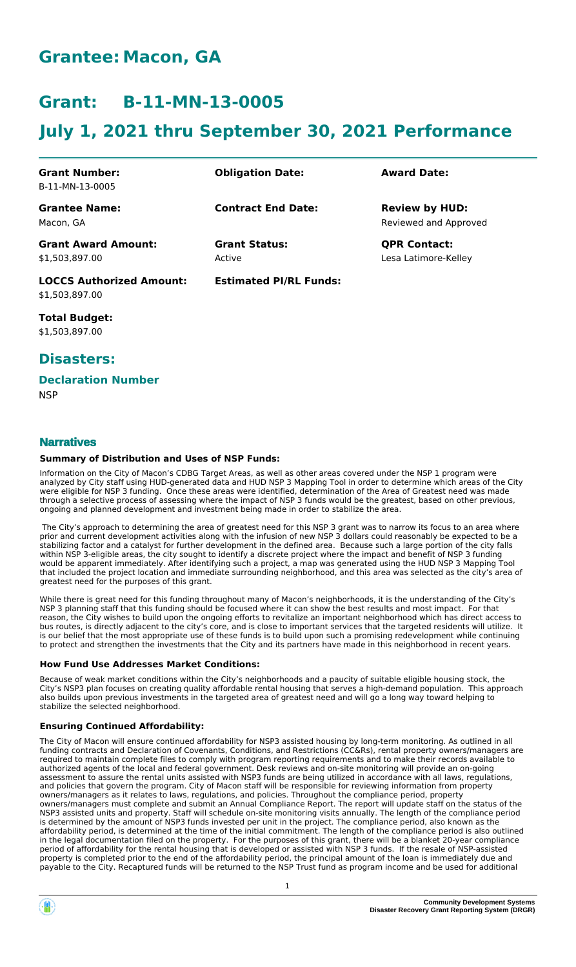## **Grantee: Macon, GA**

## **Grant: B-11-MN-13-0005**

# **July 1, 2021 thru September 30, 2021 Performance**

| <b>Grant Number:</b>            | <b>Obligation Date:</b>       | <b>Award Date:</b>    |
|---------------------------------|-------------------------------|-----------------------|
| B-11-MN-13-0005                 |                               |                       |
| <b>Grantee Name:</b>            | <b>Contract End Date:</b>     | <b>Review by HUD:</b> |
| Macon, GA                       |                               | Reviewed and Approved |
| <b>Grant Award Amount:</b>      | <b>Grant Status:</b>          | <b>QPR Contact:</b>   |
| \$1,503,897.00                  | Active                        | Lesa Latimore-Kelley  |
| <b>LOCCS Authorized Amount:</b> | <b>Estimated PI/RL Funds:</b> |                       |
| \$1.503.897.00                  |                               |                       |

**Total Budget:** \$1,503,897.00

### **Disasters:**

#### **Declaration Number**

**NSP** 

### **Narratives**

#### **Summary of Distribution and Uses of NSP Funds:**

Information on the City of Macon's CDBG Target Areas, as well as other areas covered under the NSP 1 program were analyzed by City staff using HUD-generated data and HUD NSP 3 Mapping Tool in order to determine which areas of the City were eligible for NSP 3 funding. Once these areas were identified, determination of the Area of Greatest need was made through a selective process of assessing where the impact of NSP 3 funds would be the greatest, based on other previous, ongoing and planned development and investment being made in order to stabilize the area.

 The City's approach to determining the area of greatest need for this NSP 3 grant was to narrow its focus to an area where prior and current development activities along with the infusion of new NSP 3 dollars could reasonably be expected to be a stabilizing factor and a catalyst for further development in the defined area. Because such a large portion of the city falls within NSP 3-eligible areas, the city sought to identify a discrete project where the impact and benefit of NSP 3 funding would be apparent immediately. After identifying such a project, a map was generated using the HUD NSP 3 Mapping Tool that included the project location and immediate surrounding neighborhood, and this area was selected as the city's area of greatest need for the purposes of this grant.

While there is great need for this funding throughout many of Macon's neighborhoods, it is the understanding of the City's NSP 3 planning staff that this funding should be focused where it can show the best results and most impact. For that reason, the City wishes to build upon the ongoing efforts to revitalize an important neighborhood which has direct access to bus routes, is directly adjacent to the city's core, and is close to important services that the targeted residents will utilize. It is our belief that the most appropriate use of these funds is to build upon such a promising redevelopment while continuing to protect and strengthen the investments that the City and its partners have made in this neighborhood in recent years.

#### **How Fund Use Addresses Market Conditions:**

Because of weak market conditions within the City's neighborhoods and a paucity of suitable eligible housing stock, the City's NSP3 plan focuses on creating quality affordable rental housing that serves a high-demand population. This approach also builds upon previous investments in the targeted area of greatest need and will go a long way toward helping to stabilize the selected neighborhood.

#### **Ensuring Continued Affordability:**

The City of Macon will ensure continued affordability for NSP3 assisted housing by long-term monitoring. As outlined in all funding contracts and Declaration of Covenants, Conditions, and Restrictions (CC&Rs), rental property owners/managers are required to maintain complete files to comply with program reporting requirements and to make their records available to authorized agents of the local and federal government. Desk reviews and on-site monitoring will provide an on-going assessment to assure the rental units assisted with NSP3 funds are being utilized in accordance with all laws, regulations, and policies that govern the program. City of Macon staff will be responsible for reviewing information from property owners/managers as it relates to laws, regulations, and policies. Throughout the compliance period, property owners/managers must complete and submit an Annual Compliance Report. The report will update staff on the status of the NSP3 assisted units and property. Staff will schedule on-site monitoring visits annually. The length of the compliance period is determined by the amount of NSP3 funds invested per unit in the project. The compliance period, also known as the affordability period, is determined at the time of the initial commitment. The length of the compliance period is also outlined in the legal documentation filed on the property. For the purposes of this grant, there will be a blanket 20-year compliance period of affordability for the rental housing that is developed or assisted with NSP 3 funds. If the resale of NSP-assisted property is completed prior to the end of the affordability period, the principal amount of the loan is immediately due and payable to the City. Recaptured funds will be returned to the NSP Trust fund as program income and be used for additional



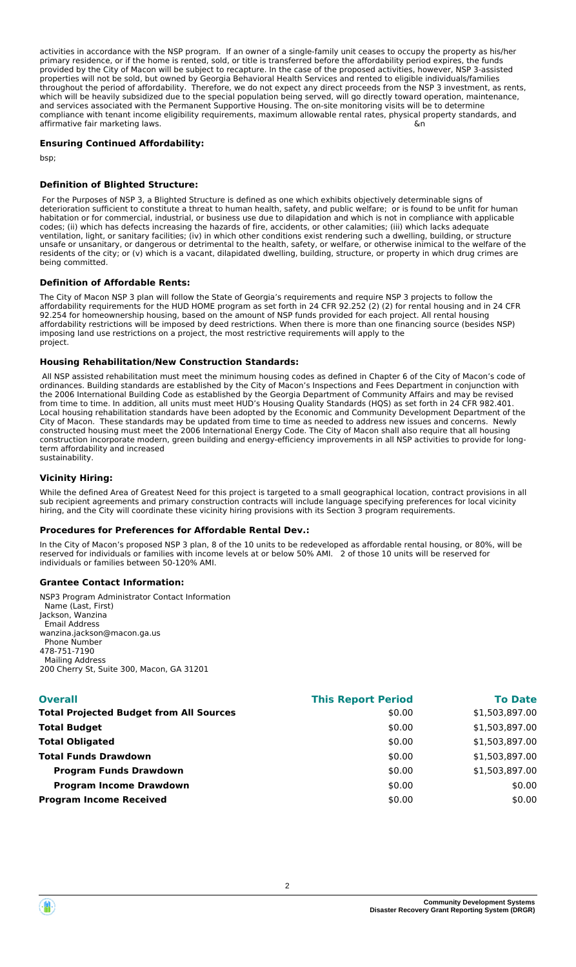activities in accordance with the NSP program. If an owner of a single-family unit ceases to occupy the property as his/her primary residence, or if the home is rented, sold, or title is transferred before the affordability period expires, the funds provided by the City of Macon will be subject to recapture. In the case of the proposed activities, however, NSP 3-assisted properties will not be sold, but owned by Georgia Behavioral Health Services and rented to eligible individuals/families throughout the period of affordability. Therefore, we do not expect any direct proceeds from the NSP 3 investment, as rents, which will be heavily subsidized due to the special population being served, will go directly toward operation, maintenance, and services associated with the Permanent Supportive Housing. The on-site monitoring visits will be to determine compliance with tenant income eligibility requirements, maximum allowable rental rates, physical property standards, and affirmative fair marketing laws. **Solution 2008** and 2008 **and 2008** and 2008 **and 2008** and 2008 **and 2008** and 2008 **and 2008** and 2008 **and 2008** and 2008 **and 2008** and 2008 **and 2008 and 2008 and 2008 and 2008** 

#### **Ensuring Continued Affordability:**

bsp;

#### **Definition of Blighted Structure:**

 For the Purposes of NSP 3, a Blighted Structure is defined as one which exhibits objectively determinable signs of deterioration sufficient to constitute a threat to human health, safety, and public welfare; or is found to be unfit for human habitation or for commercial, industrial, or business use due to dilapidation and which is not in compliance with applicable codes; (ii) which has defects increasing the hazards of fire, accidents, or other calamities; (iii) which lacks adequate ventilation, light, or sanitary facilities; (iv) in which other conditions exist rendering such a dwelling, building, or structure unsafe or unsanitary, or dangerous or detrimental to the health, safety, or welfare, or otherwise inimical to the welfare of the residents of the city; or (v) which is a vacant, dilapidated dwelling, building, structure, or property in which drug crimes are being committed.

#### **Definition of Affordable Rents:**

The City of Macon NSP 3 plan will follow the State of Georgia's requirements and require NSP 3 projects to follow the affordability requirements for the HUD HOME program as set forth in 24 CFR 92.252 (2) (2) for rental housing and in 24 CFR 92.254 for homeownership housing, based on the amount of NSP funds provided for each project. All rental housing affordability restrictions will be imposed by deed restrictions. When there is more than one financing source (besides NSP) imposing land use restrictions on a project, the most restrictive requirements will apply to the project. The contract of the contract of the contract of the contract of the contract of the contract of the contract of the contract of the contract of the contract of the contract of the contract of the contract of the c

#### **Housing Rehabilitation/New Construction Standards:**

 All NSP assisted rehabilitation must meet the minimum housing codes as defined in Chapter 6 of the City of Macon's code of ordinances. Building standards are established by the City of Macon's Inspections and Fees Department in conjunction with the 2006 International Building Code as established by the Georgia Department of Community Affairs and may be revised from time to time. In addition, all units must meet HUD's Housing Quality Standards (HQS) as set forth in 24 CFR 982.401. Local housing rehabilitation standards have been adopted by the Economic and Community Development Department of the City of Macon. These standards may be updated from time to time as needed to address new issues and concerns. Newly constructed housing must meet the 2006 International Energy Code. The City of Macon shall also require that all housing construction incorporate modern, green building and energy-efficiency improvements in all NSP activities to provide for longterm affordability and increased sustainability.

#### **Vicinity Hiring:**

While the defined Area of Greatest Need for this project is targeted to a small geographical location, contract provisions in all sub recipient agreements and primary construction contracts will include language specifying preferences for local vicinity hiring, and the City will coordinate these vicinity hiring provisions with its Section 3 program requirements.

#### **Procedures for Preferences for Affordable Rental Dev.:**

In the City of Macon's proposed NSP 3 plan, 8 of the 10 units to be redeveloped as affordable rental housing, or 80%, will be reserved for individuals or families with income levels at or below 50% AMI. 2 of those 10 units will be reserved for individuals or families between 50-120% AMI.

#### **Grantee Contact Information:**

NSP3 Program Administrator Contact Information Name (Last, First) Jackson, Wanzina Email Address wanzina.jackson@macon.ga.us Phone Number 478-751-7190 Mailing Address 200 Cherry St, Suite 300, Macon, GA 31201

| <b>Overall</b>                                 | <b>This Report Period</b> | <b>To Date</b> |
|------------------------------------------------|---------------------------|----------------|
| <b>Total Projected Budget from All Sources</b> | \$0.00                    | \$1,503,897.00 |
| <b>Total Budget</b>                            | \$0.00                    | \$1,503,897.00 |
| <b>Total Obligated</b>                         | \$0.00                    | \$1,503,897.00 |
| <b>Total Funds Drawdown</b>                    | \$0.00                    | \$1,503,897.00 |
| <b>Program Funds Drawdown</b>                  | \$0.00                    | \$1,503,897.00 |
| <b>Program Income Drawdown</b>                 | \$0.00                    | \$0.00         |
| <b>Program Income Received</b>                 | \$0.00                    | \$0.00         |
|                                                |                           |                |